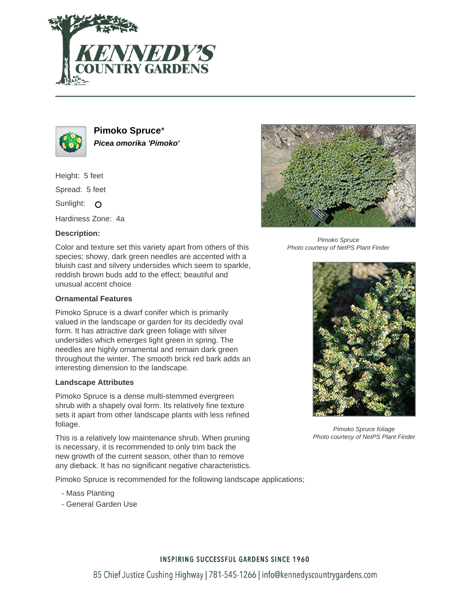



**Pimoko Spruce**\* **Picea omorika 'Pimoko'**

Height: 5 feet

Spread: 5 feet

Sunlight: O

Hardiness Zone: 4a

### **Description:**

Color and texture set this variety apart from others of this species; showy, dark green needles are accented with a bluish cast and silvery undersides which seem to sparkle, reddish brown buds add to the effect; beautiful and unusual accent choice

#### **Ornamental Features**

Pimoko Spruce is a dwarf conifer which is primarily valued in the landscape or garden for its decidedly oval form. It has attractive dark green foliage with silver undersides which emerges light green in spring. The needles are highly ornamental and remain dark green throughout the winter. The smooth brick red bark adds an interesting dimension to the landscape.

#### **Landscape Attributes**

Pimoko Spruce is a dense multi-stemmed evergreen shrub with a shapely oval form. Its relatively fine texture sets it apart from other landscape plants with less refined foliage.

This is a relatively low maintenance shrub. When pruning is necessary, it is recommended to only trim back the new growth of the current season, other than to remove any dieback. It has no significant negative characteristics.

Pimoko Spruce is recommended for the following landscape applications;

- Mass Planting
- General Garden Use



Pimoko Spruce Photo courtesy of NetPS Plant Finder



Pimoko Spruce foliage Photo courtesy of NetPS Plant Finder

# **INSPIRING SUCCESSFUL GARDENS SINCE 1960**

85 Chief Justice Cushing Highway | 781-545-1266 | info@kennedyscountrygardens.com